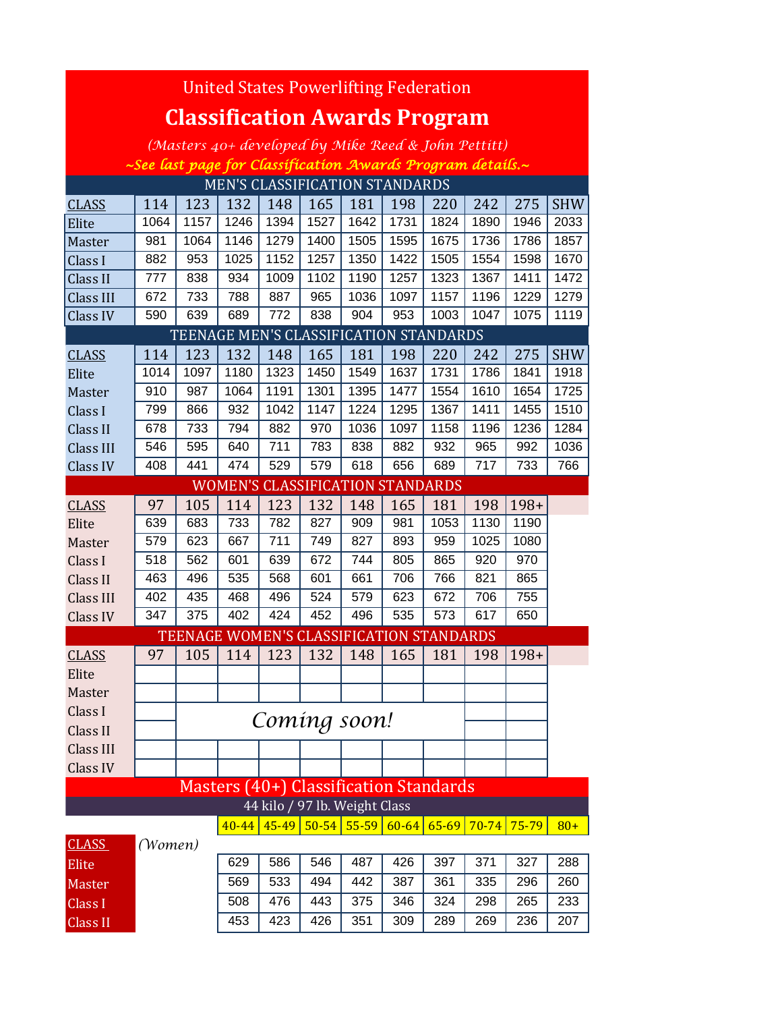| United States Powerlifting Federation                      |         |      |           |           |                                          |                 |           |      |                     |            |            |  |
|------------------------------------------------------------|---------|------|-----------|-----------|------------------------------------------|-----------------|-----------|------|---------------------|------------|------------|--|
| <b>Classification Awards Program</b>                       |         |      |           |           |                                          |                 |           |      |                     |            |            |  |
| (Masters 40+ developed by Mike Reed & John Pettitt)        |         |      |           |           |                                          |                 |           |      |                     |            |            |  |
| ~See last page for Classification Awards Program details.~ |         |      |           |           |                                          |                 |           |      |                     |            |            |  |
| MEN'S CLASSIFICATION STANDARDS                             |         |      |           |           |                                          |                 |           |      |                     |            |            |  |
| <b>CLASS</b>                                               | 114     | 123  | 132       | 148       | 165                                      | 181             | 198       | 220  | 242                 | 275        | <b>SHW</b> |  |
| Elite                                                      | 1064    | 1157 | 1246      | 1394      | 1527                                     | 1642            | 1731      | 1824 | 1890                | 1946       | 2033       |  |
| Master                                                     | 981     | 1064 | 1146      | 1279      | 1400                                     | 1505            | 1595      | 1675 | 1736                | 1786       | 1857       |  |
| Class I                                                    | 882     | 953  | 1025      | 1152      | 1257                                     | 1350            | 1422      | 1505 | 1554                | 1598       | 1670       |  |
| Class II                                                   | 777     | 838  | 934       | 1009      | 1102                                     | 1190            | 1257      | 1323 | 1367                | 1411       | 1472       |  |
| Class III                                                  | 672     | 733  | 788       | 887       | 965                                      | 1036            | 1097      | 1157 | 1196                | 1229       | 1279       |  |
| Class IV                                                   | 590     | 639  | 689       | 772       | 838                                      | 904             | 953       | 1003 | 1047                | 1075       | 1119       |  |
|                                                            |         |      |           |           | TEENAGE MEN'S CLASSIFICATION STANDARDS   |                 |           |      |                     |            |            |  |
| <b>CLASS</b>                                               | 114     | 123  | 132       | 148       | 165                                      | 181             | 198       | 220  | 242                 | 275        | <b>SHW</b> |  |
| Elite                                                      | 1014    | 1097 | 1180      | 1323      | 1450                                     | 1549            | 1637      | 1731 | 1786                | 1841       | 1918       |  |
| Master                                                     | 910     | 987  | 1064      | 1191      | 1301                                     | 1395            | 1477      | 1554 | 1610                | 1654       | 1725       |  |
| Class I                                                    | 799     | 866  | 932       | 1042      | 1147                                     | 1224            | 1295      | 1367 | 1411                | 1455       | 1510       |  |
| Class II                                                   | 678     | 733  | 794       | 882       | 970                                      | 1036            | 1097      | 1158 | 1196                | 1236       | 1284       |  |
| <b>Class III</b>                                           | 546     | 595  | 640       | 711       | 783                                      | 838             | 882       | 932  | 965                 | 992        | 1036       |  |
| Class IV                                                   | 408     | 441  | 474       | 529       | 579                                      | 618             | 656       | 689  | 717                 | 733        | 766        |  |
|                                                            |         |      |           |           | <b>WOMEN'S CLASSIFICATION STANDARDS</b>  |                 |           |      |                     |            |            |  |
| <b>CLASS</b>                                               | 97      | 105  | 114       | 123       | 132                                      | 148             | 165       | 181  | 198                 | $198+$     |            |  |
| Elite                                                      | 639     | 683  | 733       | 782       | 827                                      | 909             | 981       | 1053 | 1130                | 1190       |            |  |
| Master                                                     | 579     | 623  | 667       | 711       | 749                                      | 827             | 893       | 959  | 1025                | 1080       |            |  |
| Class I                                                    | 518     | 562  | 601       | 639       | 672                                      | 744             | 805       | 865  | 920                 | 970        |            |  |
| Class II                                                   | 463     | 496  | 535       | 568       | 601                                      | 661             | 706       | 766  | 821                 | 865        |            |  |
| Class III                                                  | 402     | 435  | 468       | 496       | 524                                      | 579             | 623       | 672  | 706                 | 755        |            |  |
| Class IV                                                   | 347     | 375  | 402       | 424       | 452                                      | 496             | 535       | 573  | 617                 | 650        |            |  |
|                                                            |         |      |           |           | TEENAGE WOMEN'S CLASSIFICATION STANDARDS |                 |           |      |                     |            |            |  |
| <b>CLASS</b>                                               | 97      |      |           |           | 105   114   123   132   148   165   181  |                 |           |      |                     | $198 198+$ |            |  |
| Elite                                                      |         |      |           |           |                                          |                 |           |      |                     |            |            |  |
| Master                                                     |         |      |           |           |                                          |                 |           |      |                     |            |            |  |
| Class I                                                    |         |      |           |           | Coming soon!                             |                 |           |      |                     |            |            |  |
| Class II                                                   |         |      |           |           |                                          |                 |           |      |                     |            |            |  |
| Class III                                                  |         |      |           |           |                                          |                 |           |      |                     |            |            |  |
| Class IV                                                   |         |      |           |           |                                          |                 |           |      |                     |            |            |  |
|                                                            |         |      |           |           | Masters (40+) Classification Standards   |                 |           |      |                     |            |            |  |
|                                                            |         |      |           |           | 44 kilo / 97 lb. Weight Class            |                 |           |      |                     |            |            |  |
|                                                            |         |      | $40 - 44$ | $45 - 49$ |                                          | $50 - 54$ 55-59 | $60 - 64$ |      | $65-69$ 70-74 75-79 |            | $80+$      |  |
| <b>CLASS</b>                                               | (Women) |      |           |           |                                          |                 |           |      |                     |            |            |  |
| Elite                                                      |         |      | 629       | 586       | 546                                      | 487             | 426       | 397  | 371                 | 327        | 288        |  |
| Master                                                     |         |      | 569       | 533       | 494                                      | 442             | 387       | 361  | 335                 | 296        | 260        |  |
| Class I                                                    |         |      | 508       | 476       | 443                                      | 375             | 346       | 324  | 298                 | 265        | 233        |  |
| <b>Class II</b>                                            |         |      | 453       | 423       | 426                                      | 351             | 309       | 289  | 269                 | 236        | 207        |  |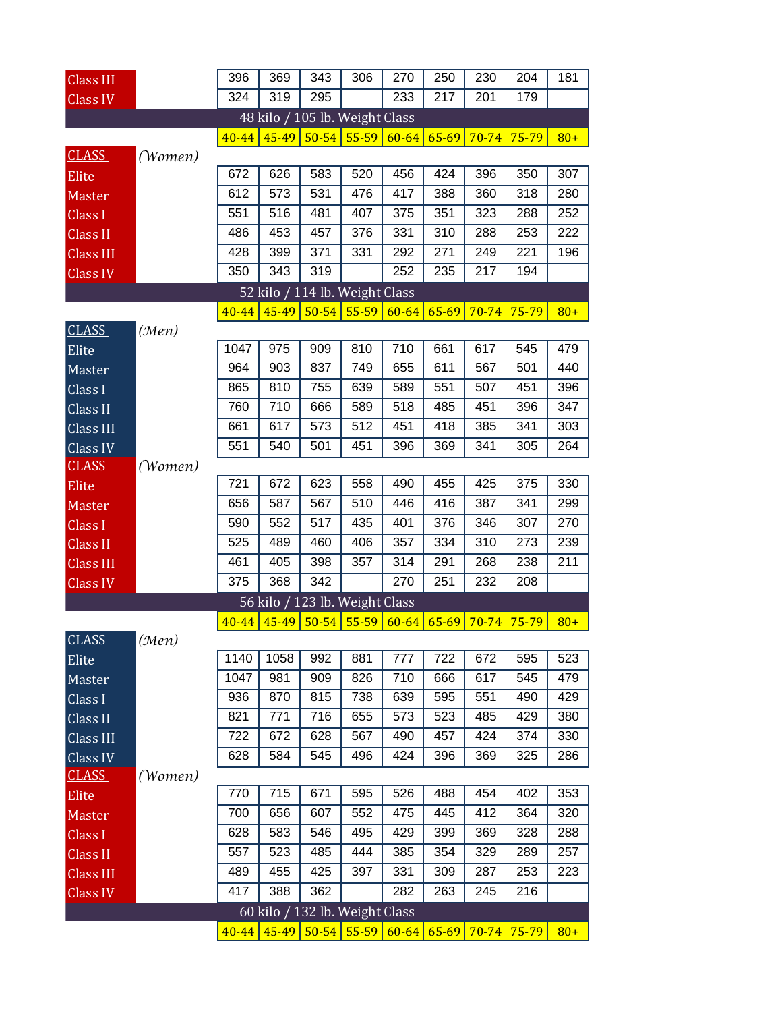| <b>Class III</b> |         | 396       | 369   | 343       | 306                            | 270       | 250       | 230       | 204             | 181   |
|------------------|---------|-----------|-------|-----------|--------------------------------|-----------|-----------|-----------|-----------------|-------|
| <b>Class IV</b>  |         | 324       | 319   | 295       |                                | 233       | 217       | 201       | 179             |       |
|                  |         |           |       |           | 48 kilo / 105 lb. Weight Class |           |           |           |                 |       |
|                  |         | $40 - 44$ | 45-49 |           | $50 - 54$ 55-59                | $60 - 64$ | $65 - 69$ | $70 - 74$ | 75-79           | $80+$ |
| <b>CLASS</b>     | (Women) |           |       |           |                                |           |           |           |                 |       |
| Elite            |         | 672       | 626   | 583       | 520                            | 456       | 424       | 396       | 350             | 307   |
| Master           |         | 612       | 573   | 531       | 476                            | 417       | 388       | 360       | 318             | 280   |
| Class I          |         | 551       | 516   | 481       | 407                            | 375       | 351       | 323       | 288             | 252   |
| <b>Class II</b>  |         | 486       | 453   | 457       | 376                            | 331       | 310       | 288       | 253             | 222   |
| <b>Class III</b> |         | 428       | 399   | 371       | 331                            | 292       | 271       | 249       | 221             | 196   |
| <b>Class IV</b>  |         | 350       | 343   | 319       |                                | 252       | 235       | 217       | 194             |       |
|                  |         |           |       |           | 52 kilo / 114 lb. Weight Class |           |           |           |                 |       |
|                  |         | $40 - 44$ | 45-49 | $50 - 54$ | 55-59                          | $60 - 64$ | 65-69     | $70 - 74$ | $75 - 79$       | $80+$ |
| <b>CLASS</b>     | (Men)   |           |       |           |                                |           |           |           |                 |       |
| Elite            |         | 1047      | 975   | 909       | 810                            | 710       | 661       | 617       | 545             | 479   |
| Master           |         | 964       | 903   | 837       | 749                            | 655       | 611       | 567       | 501             | 440   |
| Class I          |         | 865       | 810   | 755       | 639                            | 589       | 551       | 507       | 451             | 396   |
| Class II         |         | 760       | 710   | 666       | 589                            | 518       | 485       | 451       | 396             | 347   |
| Class III        |         | 661       | 617   | 573       | 512                            | 451       | 418       | 385       | 341             | 303   |
| Class IV         |         | 551       | 540   | 501       | 451                            | 396       | 369       | 341       | 305             | 264   |
| <b>CLASS</b>     | (Women) |           |       |           |                                |           |           |           |                 |       |
| Elite            |         | 721       | 672   | 623       | 558                            | 490       | 455       | 425       | 375             | 330   |
| Master           |         | 656       | 587   | 567       | 510                            | 446       | 416       | 387       | 341             | 299   |
| Class I          |         | 590       | 552   | 517       | 435                            | 401       | 376       | 346       | 307             | 270   |
| <b>Class II</b>  |         | 525       | 489   | 460       | 406                            | 357       | 334       | 310       | 273             | 239   |
| <b>Class III</b> |         | 461       | 405   | 398       | 357                            | 314       | 291       | 268       | 238             | 211   |
| Class IV         |         | 375       | 368   | 342       |                                | 270       | 251       | 232       | 208             |       |
|                  |         |           |       |           | 56 kilo / 123 lb. Weight Class |           |           |           |                 |       |
|                  |         | $40 - 44$ | 45-49 | $50 - 54$ | $55 - 59$                      | $60 - 64$ | $65 - 69$ | $70 - 74$ | $75 - 79$       | $80+$ |
| <b>CLASS</b>     | (Men)   |           |       |           |                                |           |           |           |                 |       |
| Elite            |         | 1140      | 1058  | 992       | 881                            | 777       | 722       | 672       | 595             | 523   |
| Master           |         | 1047      | 981   | 909       | 826                            | 710       | 666       | 617       | 545             | 479   |
| Class I          |         | 936       | 870   | 815       | 738                            | 639       | 595       | 551       | 490             | 429   |
| Class II         |         | 821       | 771   | 716       | 655                            | 573       | 523       | 485       | 429             | 380   |
| Class III        |         | 722       | 672   | 628       | 567                            | 490       | 457       | 424       | 374             | 330   |
| Class IV         |         | 628       | 584   | 545       | 496                            | 424       | 396       | 369       | 325             | 286   |
| <b>CLASS</b>     | (Women) |           |       |           |                                |           |           |           |                 |       |
| Elite            |         | 770       | 715   | 671       | 595                            | 526       | 488       | 454       | 402             | 353   |
| <b>Master</b>    |         | 700       | 656   | 607       | 552                            | 475       | 445       | 412       | 364             | 320   |
| Class I          |         | 628       | 583   | 546       | 495                            | 429       | 399       | 369       | 328             | 288   |
| Class II         |         | 557       | 523   | 485       | 444                            | 385       | 354       | 329       | 289             | 257   |
| <b>Class III</b> |         | 489       | 455   | 425       | 397                            | 331       | 309       | 287       | 253             | 223   |
| <b>Class IV</b>  |         | 417       | 388   | 362       |                                | 282       | 263       | 245       | 216             |       |
|                  |         |           |       |           | 60 kilo / 132 lb. Weight Class |           |           |           |                 |       |
|                  |         | $40 - 44$ | 45-49 | $50 - 54$ | $55-59$                        | $60 - 64$ | $65 - 69$ |           | $70 - 74$ 75-79 | $80+$ |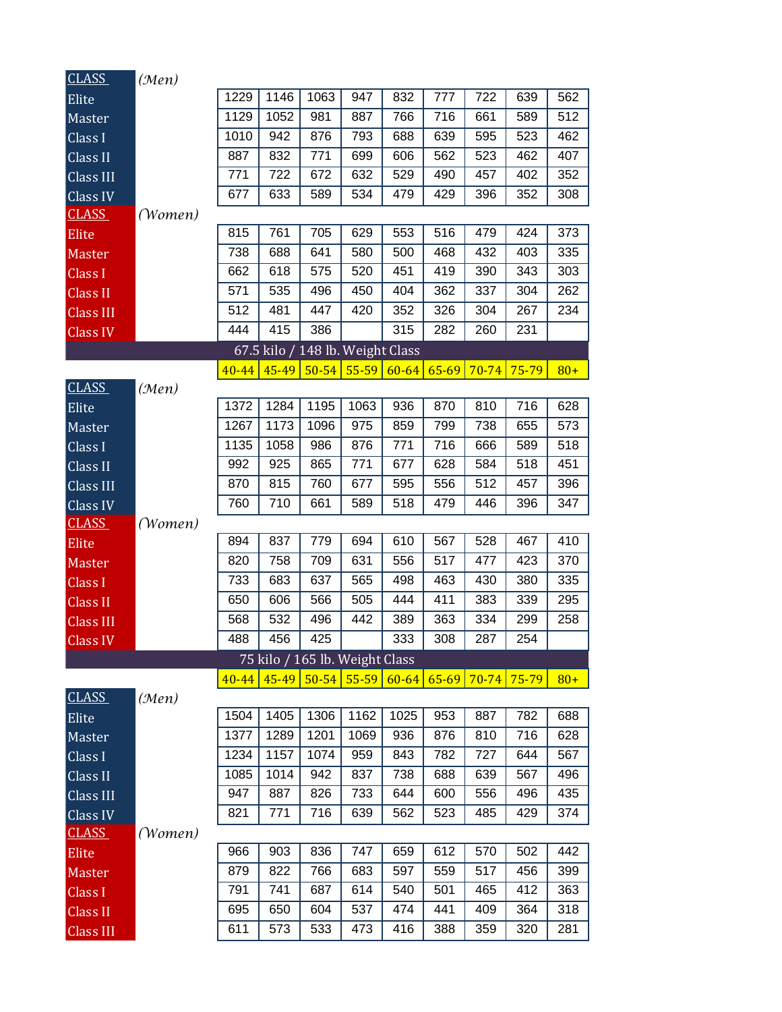| <b>CLASS</b>                 | (Men)   |            |            |                                  |            |            |            |            |            |            |
|------------------------------|---------|------------|------------|----------------------------------|------------|------------|------------|------------|------------|------------|
| Elite                        |         | 1229       | 1146       | 1063                             | 947        | 832        | 777        | 722        | 639        | 562        |
| Master                       |         | 1129       | 1052       | 981                              | 887        | 766        | 716        | 661        | 589        | 512        |
| Class I                      |         | 1010       | 942        | 876                              | 793        | 688        | 639        | 595        | 523        | 462        |
| Class II                     |         | 887        | 832        | 771                              | 699        | 606        | 562        | 523        | 462        | 407        |
| Class III                    |         | 771        | 722        | 672                              | 632        | 529        | 490        | 457        | 402        | 352        |
| Class IV                     |         | 677        | 633        | 589                              | 534        | 479        | 429        | 396        | 352        | 308        |
| <b>CLASS</b>                 | (Women) |            |            |                                  |            |            |            |            |            |            |
| Elite                        |         | 815        | 761        | 705                              | 629        | 553        | 516        | 479        | 424        | 373        |
| <b>Master</b>                |         | 738        | 688        | 641                              | 580        | 500        | 468        | 432        | 403        | 335        |
| Class I                      |         | 662        | 618        | 575                              | 520        | 451        | 419        | 390        | 343        | 303        |
| <b>Class II</b>              |         | 571        | 535        | 496                              | 450        | 404        | 362        | 337        | 304        | 262        |
| <b>Class III</b>             |         | 512        | 481        | 447                              | 420        | 352        | 326        | 304        | 267        | 234        |
| <b>Class IV</b>              |         | 444        | 415        | 386                              |            | 315        | 282        | 260        | 231        |            |
|                              |         |            |            | 67.5 kilo / 148 lb. Weight Class |            |            |            |            |            |            |
|                              |         | $40 - 44$  | 45-49      | $50 - 54$                        | $55 - 59$  | $60 - 64$  | $65 - 69$  | $70 - 74$  | 75-79      | $80+$      |
| <b>CLASS</b>                 | (Men)   |            |            |                                  |            |            |            |            |            |            |
| Elite                        |         | 1372       | 1284       | 1195                             | 1063       | 936        | 870        | 810        | 716        | 628        |
| Master                       |         | 1267       | 1173       | 1096                             | 975        | 859        | 799        | 738        | 655        | 573        |
| Class I                      |         | 1135       | 1058       | 986                              | 876        | 771        | 716        | 666        | 589        | 518        |
| Class II                     |         | 992        | 925        | 865                              | 771        | 677        | 628        | 584        | 518        | 451        |
| Class III                    |         | 870        | 815        | 760                              | 677        | 595        | 556        | 512        | 457        | 396        |
| Class IV                     |         | 760        | 710        | 661                              | 589        | 518        | 479        | 446        | 396        | 347        |
| <b>CLASS</b>                 | (Women) |            |            |                                  |            |            |            |            |            |            |
| Elite                        |         | 894        | 837        | 779                              | 694        | 610        | 567        | 528        | 467        | 410        |
| Master                       |         | 820        | 758        | 709                              | 631        | 556        | 517        | 477        | 423        | 370        |
| Class I                      |         | 733        | 683        | 637                              | 565        | 498        | 463        | 430        | 380        | 335        |
| <b>Class II</b>              |         | 650        | 606        | 566                              | 505        | 444        | 411        | 383        | 339        | 295        |
| <b>Class III</b>             |         | 568        | 532        | 496                              | 442        | 389        | 363        | 334        | 299        | 258        |
| <b>Class IV</b>              |         | 488        | 456        | 425                              |            | 333        | 308        | 287        | 254        |            |
|                              |         |            |            | 75 kilo / 165 lb. Weight Class   |            |            |            |            |            |            |
|                              |         | $40 - 44$  |            | 45-49 50-54 55-59                |            | $60 - 64$  | $65 - 69$  | $70 - 74$  | 75-79      | $80+$      |
| <b>CLASS</b>                 | (Men)   |            |            |                                  |            |            |            |            |            |            |
| Elite                        |         | 1504       | 1405       | 1306                             | 1162       | 1025       | 953        | 887        | 782        | 688        |
| Master                       |         | 1377       | 1289       | 1201                             | 1069       | 936        | 876        | 810        | 716        | 628        |
| Class I                      |         | 1234       | 1157       | 1074                             | 959        | 843        | 782        | 727        | 644        | 567        |
| Class II                     |         | 1085       | 1014       | 942                              | 837        | 738        | 688        | 639        | 567        | 496        |
| Class III                    |         | 947        | 887        | 826                              | 733        | 644        | 600        | 556        | 496        | 435        |
| Class IV                     |         | 821        | 771        | 716                              | 639        | 562        | 523        | 485        | 429        | 374        |
| <b>CLASS</b>                 | (Women) |            |            |                                  |            |            |            |            |            |            |
| Elite                        |         | 966        | 903        | 836                              | 747        | 659        | 612        | 570        | 502        | 442        |
| Master                       |         | 879        | 822        | 766                              | 683        | 597        | 559        | 517        | 456        | 399        |
|                              |         |            |            |                                  |            |            |            |            |            |            |
| Class I                      |         | 791        | 741        | 687                              | 614        | 540        | 501        | 465        | 412        | 363        |
| <b>Class II</b><br>Class III |         | 695<br>611 | 650<br>573 | 604<br>533                       | 537<br>473 | 474<br>416 | 441<br>388 | 409<br>359 | 364<br>320 | 318<br>281 |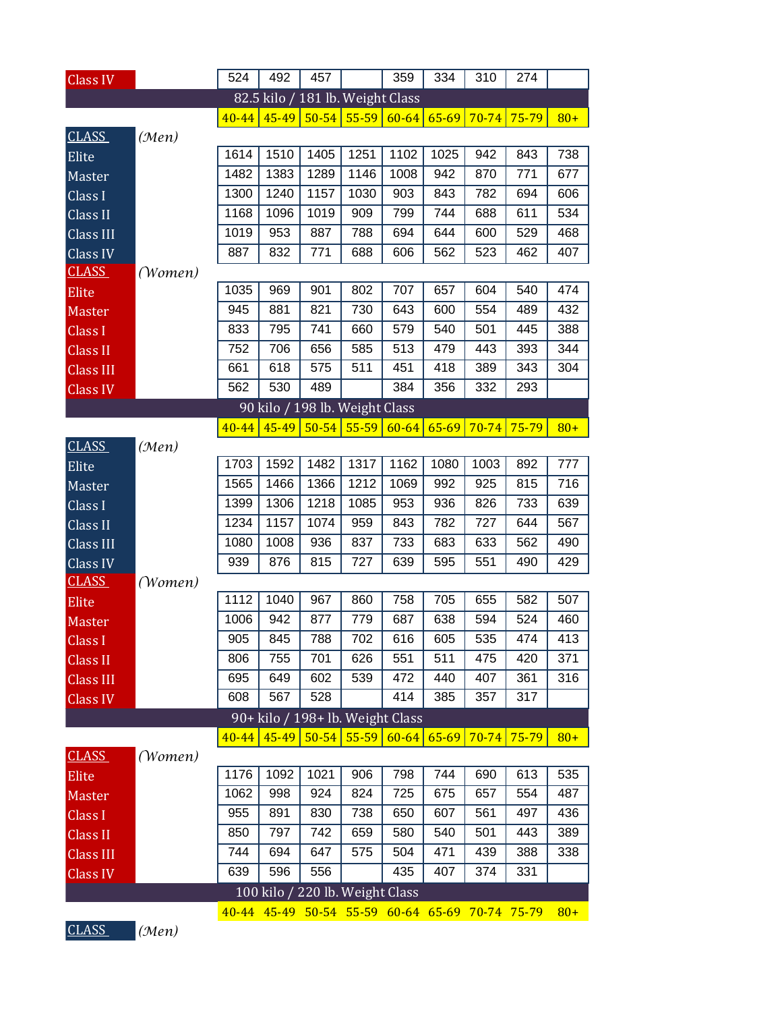| <b>Class IV</b>  |         | 524       | 492                                             | 457               |           | 359                       | 334       | 310       | 274       |       |
|------------------|---------|-----------|-------------------------------------------------|-------------------|-----------|---------------------------|-----------|-----------|-----------|-------|
|                  |         |           | 82.5 kilo / 181 lb. Weight Class                |                   |           |                           |           |           |           |       |
|                  |         | $40 - 44$ |                                                 | 45-49 50-54 55-59 |           | $60-64$                   | $65 - 69$ | $70 - 74$ | $75 - 79$ | $80+$ |
| <b>CLASS</b>     | (Men)   |           |                                                 |                   |           |                           |           |           |           |       |
| Elite            |         | 1614      | 1510                                            | 1405              | 1251      | 1102                      | 1025      | 942       | 843       | 738   |
| Master           |         | 1482      | 1383                                            | 1289              | 1146      | 1008                      | 942       | 870       | 771       | 677   |
| Class I          |         | 1300      | 1240                                            | 1157              | 1030      | 903                       | 843       | 782       | 694       | 606   |
| Class II         |         | 1168      | 1096                                            | 1019              | 909       | 799                       | 744       | 688       | 611       | 534   |
| Class III        |         | 1019      | 953                                             | 887               | 788       | 694                       | 644       | 600       | 529       | 468   |
| Class IV         |         | 887       | 832                                             | 771               | 688       | 606                       | 562       | 523       | 462       | 407   |
| <b>CLASS</b>     | (Women) |           |                                                 |                   |           |                           |           |           |           |       |
| Elite            |         | 1035      | 969                                             | 901               | 802       | 707                       | 657       | 604       | 540       | 474   |
| Master           |         | 945       | 881                                             | 821               | 730       | 643                       | 600       | 554       | 489       | 432   |
| Class I          |         | 833       | 795                                             | 741               | 660       | 579                       | 540       | 501       | 445       | 388   |
| <b>Class II</b>  |         | 752       | 706                                             | 656               | 585       | 513                       | 479       | 443       | 393       | 344   |
| Class III        |         | 661       | 618                                             | 575               | 511       | 451                       | 418       | 389       | 343       | 304   |
| Class IV         |         | 562       | 530                                             | 489               |           | 384                       | 356       | 332       | 293       |       |
|                  |         |           | 90 kilo / 198 lb. Weight Class                  |                   |           |                           |           |           |           |       |
|                  |         | $40 - 44$ | $45 - 49$                                       | $50 - 54$         | $55 - 59$ | $60 - 64$                 | $65 - 69$ | $70 - 74$ | 75-79     | $80+$ |
| <b>CLASS</b>     | (Men)   |           |                                                 |                   |           |                           |           |           |           |       |
| Elite            |         | 1703      | 1592                                            | 1482              | 1317      | 1162                      | 1080      | 1003      | 892       | 777   |
| Master           |         | 1565      | 1466                                            | 1366              | 1212      | 1069                      | 992       | 925       | 815       | 716   |
| Class I          |         | 1399      | 1306                                            | 1218              | 1085      | 953                       | 936       | 826       | 733       | 639   |
| Class II         |         | 1234      | 1157                                            | 1074              | 959       | 843                       | 782       | 727       | 644       | 567   |
| Class III        |         | 1080      | 1008                                            | 936               | 837       | 733                       | 683       | 633       | 562       | 490   |
| Class IV         |         | 939       | 876                                             | 815               | 727       | 639                       | 595       | 551       | 490       | 429   |
| <b>CLASS</b>     | (Women) |           |                                                 |                   |           |                           |           |           |           |       |
| Elite            |         | 1112      | 1040                                            | 967               | 860       | 758                       | 705       | 655       | 582       | 507   |
| Master           |         | 1006      | 942                                             | 877               | 779       | 687                       | 638       | 594       | 524       | 460   |
| Class I          |         | 905       | 845                                             | 788               | 702       | 616                       | 605       | 535       | 474       | 413   |
| Class II         |         | 806       | 755                                             | 701               | 626       | 551                       | 511       | 475       | 420       | 371   |
| Class III        |         | 695       | 649                                             | 602               | 539       | 472                       | 440       | 407       | 361       | 316   |
| <b>Class IV</b>  |         | 608       | 567                                             | 528               |           | 414                       | 385       | 357       | 317       |       |
|                  |         |           | 90+ kilo / 198+ lb. Weight Class                |                   |           |                           |           |           |           |       |
|                  |         | $40 - 44$ |                                                 |                   |           | $45-49$ 50-54 55-59 60-64 | $65 - 69$ | $70 - 74$ | $75 - 79$ | $80+$ |
| <b>CLASS</b>     | (Women) |           |                                                 |                   |           |                           |           |           |           |       |
| Elite            |         | 1176      | 1092                                            | 1021              | 906       | 798                       | 744       | 690       | 613       | 535   |
| Master           |         | 1062      | 998                                             | 924               | 824       | 725                       | 675       | 657       | 554       | 487   |
| Class I          |         | 955       | 891                                             | 830               | 738       | 650                       | 607       | 561       | 497       | 436   |
| Class II         |         | 850       | 797                                             | 742               | 659       | 580                       | 540       | 501       | 443       | 389   |
| <b>Class III</b> |         | 744       | 694                                             | 647               | 575       | 504                       | 471       | 439       | 388       | 338   |
| <b>Class IV</b>  |         | 639       | 596                                             | 556               |           | 435                       | 407       | 374       | 331       |       |
|                  |         |           | 100 kilo / 220 lb. Weight Class                 |                   |           |                           |           |           |           |       |
|                  |         |           | 40-44 45-49 50-54 55-59 60-64 65-69 70-74 75-79 |                   |           |                           |           |           |           | $80+$ |
| CLASS            | (Men)   |           |                                                 |                   |           |                           |           |           |           |       |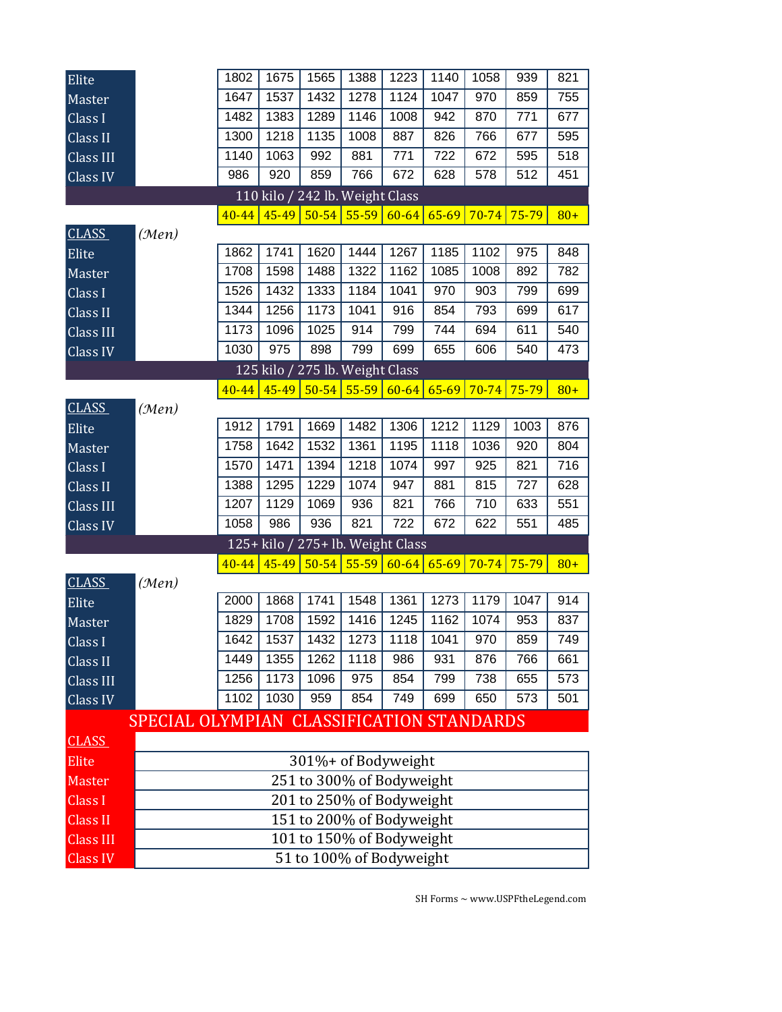| Elite            |                                           | 1802      | 1675  | 1565          | 1388                              | 1223      | 1140              | 1058      | 939       | 821   |
|------------------|-------------------------------------------|-----------|-------|---------------|-----------------------------------|-----------|-------------------|-----------|-----------|-------|
| Master           |                                           | 1647      | 1537  | 1432          | 1278                              | 1124      | 1047              | 970       | 859       | 755   |
| Class I          |                                           | 1482      | 1383  | 1289          | 1146                              | 1008      | 942               | 870       | 771       | 677   |
| Class II         |                                           | 1300      | 1218  | 1135          | 1008                              | 887       | 826               | 766       | 677       | 595   |
| Class III        |                                           | 1140      | 1063  | 992           | 881                               | 771       | 722               | 672       | 595       | 518   |
| $Cl$ ass IV      |                                           | 986       | 920   | 859           | 766                               | 672       | 628               | 578       | 512       | 451   |
|                  |                                           |           |       |               | 110 kilo / 242 lb. Weight Class   |           |                   |           |           |       |
|                  |                                           | $40 - 44$ | 45-49 |               | $50 - 54$ 55-59                   | $60 - 64$ | $65 - 69$         | $70 - 74$ | 75-79     | $80+$ |
| <b>CLASS</b>     | (Men)                                     |           |       |               |                                   |           |                   |           |           |       |
| Elite            |                                           | 1862      | 1741  | 1620          | 1444                              | 1267      | 1185              | 1102      | 975       | 848   |
| Master           |                                           | 1708      | 1598  | 1488          | 1322                              | 1162      | 1085              | 1008      | 892       | 782   |
| Class I          |                                           | 1526      | 1432  | 1333          | 1184                              | 1041      | 970               | 903       | 799       | 699   |
| Class II         |                                           | 1344      | 1256  | 1173          | 1041                              | 916       | 854               | 793       | 699       | 617   |
| Class III        |                                           | 1173      | 1096  | 1025          | 914                               | 799       | 744               | 694       | 611       | 540   |
| Class IV         |                                           | 1030      | 975   | 898           | 799                               | 699       | 655               | 606       | 540       | 473   |
|                  |                                           |           |       |               | 125 kilo / 275 lb. Weight Class   |           |                   |           |           |       |
|                  |                                           | $40 - 44$ | 45-49 | $50-54$       | $55 - 59$                         | $60 - 64$ | $65 - 69$         | $70 - 74$ | 75-79     | $80+$ |
| <b>CLASS</b>     | (Men)                                     |           |       |               |                                   |           |                   |           |           |       |
| Elite            |                                           | 1912      | 1791  | 1669          | 1482                              | 1306      | $12\overline{12}$ | 1129      | 1003      | 876   |
| Master           |                                           | 1758      | 1642  | 1532          | 1361                              | 1195      | 1118              | 1036      | 920       | 804   |
| Class I          |                                           | 1570      | 1471  | 1394          | 1218                              | 1074      | 997               | 925       | 821       | 716   |
| Class II         |                                           | 1388      | 1295  | 1229          | 1074                              | 947       | 881               | 815       | 727       | 628   |
| Class III        |                                           | 1207      | 1129  | 1069          | 936                               | 821       | 766               | 710       | 633       | 551   |
| Class IV         |                                           | 1058      | 986   | 936           | 821                               | 722       | 672               | 622       | 551       | 485   |
|                  |                                           |           |       |               | 125+ kilo / 275+ lb. Weight Class |           |                   |           |           |       |
|                  |                                           | $40 - 44$ |       | $45-49$ 50-54 | $55 - 59$                         | $60 - 64$ | $65 - 69$         | $70 - 74$ | $75 - 79$ | $80+$ |
| <b>CLASS</b>     | (Men)                                     |           |       |               |                                   |           |                   |           |           |       |
| Elite            |                                           | 2000      | 1868  | 1741          | 1548                              | 1361      | 1273              | 1179      | 1047      | 914   |
| Master           |                                           | 1829      | 1708  | 1592          | 1416                              | 1245      | 1162              | 1074      | 953       | 837   |
| Class I          |                                           | 1642      | 1537  | 1432          | 1273                              | 1118      | 1041              | 970       | 859       | 749   |
| Class II         |                                           | 1449      | 1355  | 1262          | 1118                              | 986       | 931               | 876       | 766       | 661   |
| Class III        |                                           | 1256      | 1173  | 1096          | 975                               | 854       | 799               | 738       | 655       | 573   |
| Class IV         |                                           | 1102      | 1030  | 959           | 854                               | 749       | 699               | 650       | 573       | 501   |
|                  | SPECIAL OLYMPIAN CLASSIFICATION STANDARDS |           |       |               |                                   |           |                   |           |           |       |
| <b>CLASS</b>     |                                           |           |       |               |                                   |           |                   |           |           |       |
| Elite            |                                           |           |       |               | 301%+ of Bodyweight               |           |                   |           |           |       |
| Master           |                                           |           |       |               | 251 to 300% of Bodyweight         |           |                   |           |           |       |
| <b>Class I</b>   |                                           |           |       |               | 201 to 250% of Bodyweight         |           |                   |           |           |       |
| <b>Class II</b>  |                                           |           |       |               | 151 to 200% of Bodyweight         |           |                   |           |           |       |
| <b>Class III</b> |                                           |           |       |               | 101 to 150% of Bodyweight         |           |                   |           |           |       |
| <b>Class IV</b>  | 51 to 100% of Bodyweight                  |           |       |               |                                   |           |                   |           |           |       |

SH Forms  $\sim$  www.USPF<br>the<br>Legend.com